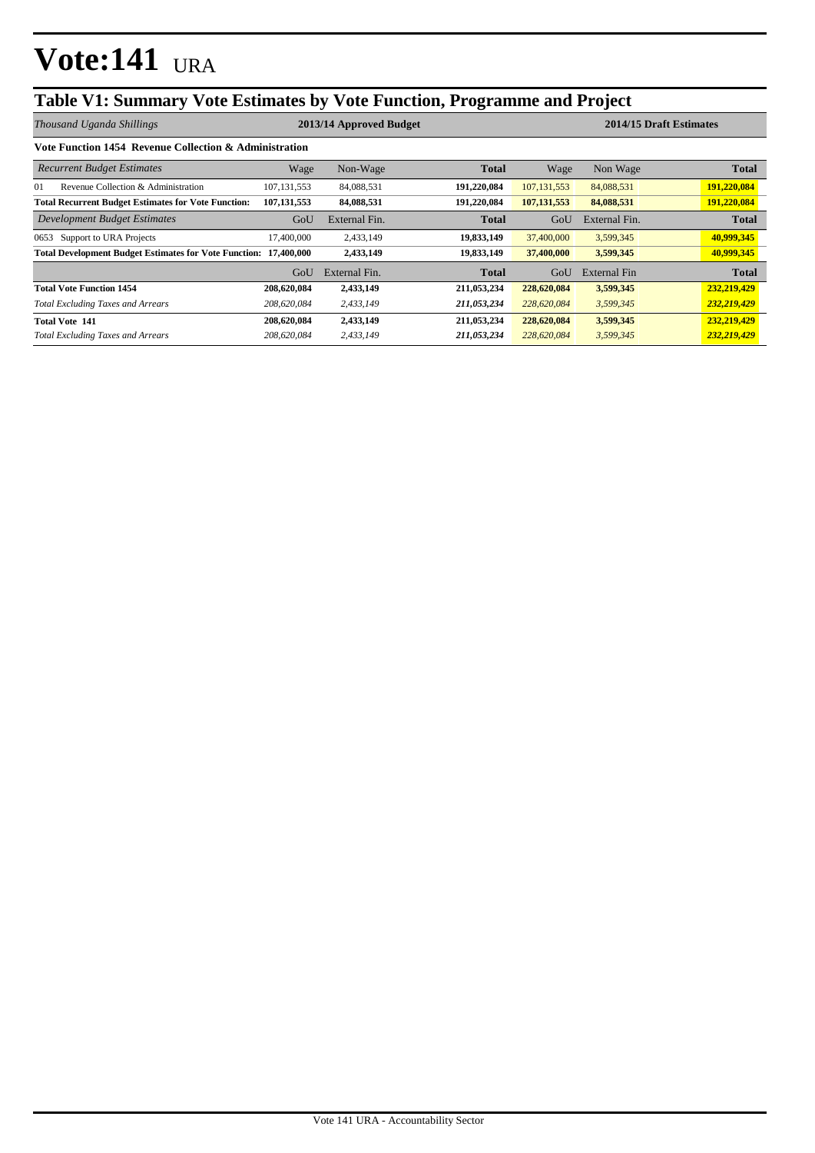### **Table V1: Summary Vote Estimates by Vote Function, Programme and Project**

*Thousand Uganda Shillings* **2013/14 Approved Budget 2014/15 Draft Estimates**

| Vote Function 1454 Revenue Collection & Administration                  |               |               |              |               |                     |              |  |
|-------------------------------------------------------------------------|---------------|---------------|--------------|---------------|---------------------|--------------|--|
| <b>Recurrent Budget Estimates</b>                                       | Wage          | Non-Wage      | <b>Total</b> | Wage          | Non Wage            | <b>Total</b> |  |
| 01<br>Revenue Collection & Administration                               | 107.131.553   | 84,088,531    | 191.220.084  | 107, 131, 553 | 84,088,531          | 191,220,084  |  |
| <b>Total Recurrent Budget Estimates for Vote Function:</b>              | 107, 131, 553 | 84,088,531    | 191,220,084  | 107, 131, 553 | 84,088,531          | 191,220,084  |  |
| <b>Development Budget Estimates</b>                                     | GoU           | External Fin. | <b>Total</b> | GoU           | External Fin.       | <b>Total</b> |  |
| Support to URA Projects<br>0653                                         | 17,400,000    | 2,433,149     | 19,833,149   | 37,400,000    | 3,599,345           | 40,999,345   |  |
| <b>Total Development Budget Estimates for Vote Function: 17,400,000</b> |               | 2,433,149     | 19,833,149   | 37,400,000    | 3,599,345           | 40,999,345   |  |
|                                                                         | GoU           | External Fin. | <b>Total</b> | GoU           | <b>External Fin</b> | <b>Total</b> |  |
| <b>Total Vote Function 1454</b>                                         | 208,620,084   | 2,433,149     | 211,053,234  | 228,620,084   | 3,599,345           | 232,219,429  |  |
| <b>Total Excluding Taxes and Arrears</b>                                | 208,620,084   | 2,433,149     | 211,053,234  | 228,620,084   | 3,599,345           | 232,219,429  |  |
| <b>Total Vote 141</b>                                                   | 208,620,084   | 2,433,149     | 211,053,234  | 228,620,084   | 3,599,345           | 232,219,429  |  |
| <b>Total Excluding Taxes and Arrears</b>                                | 208,620,084   | 2.433.149     | 211,053,234  | 228,620,084   | 3,599,345           | 232,219,429  |  |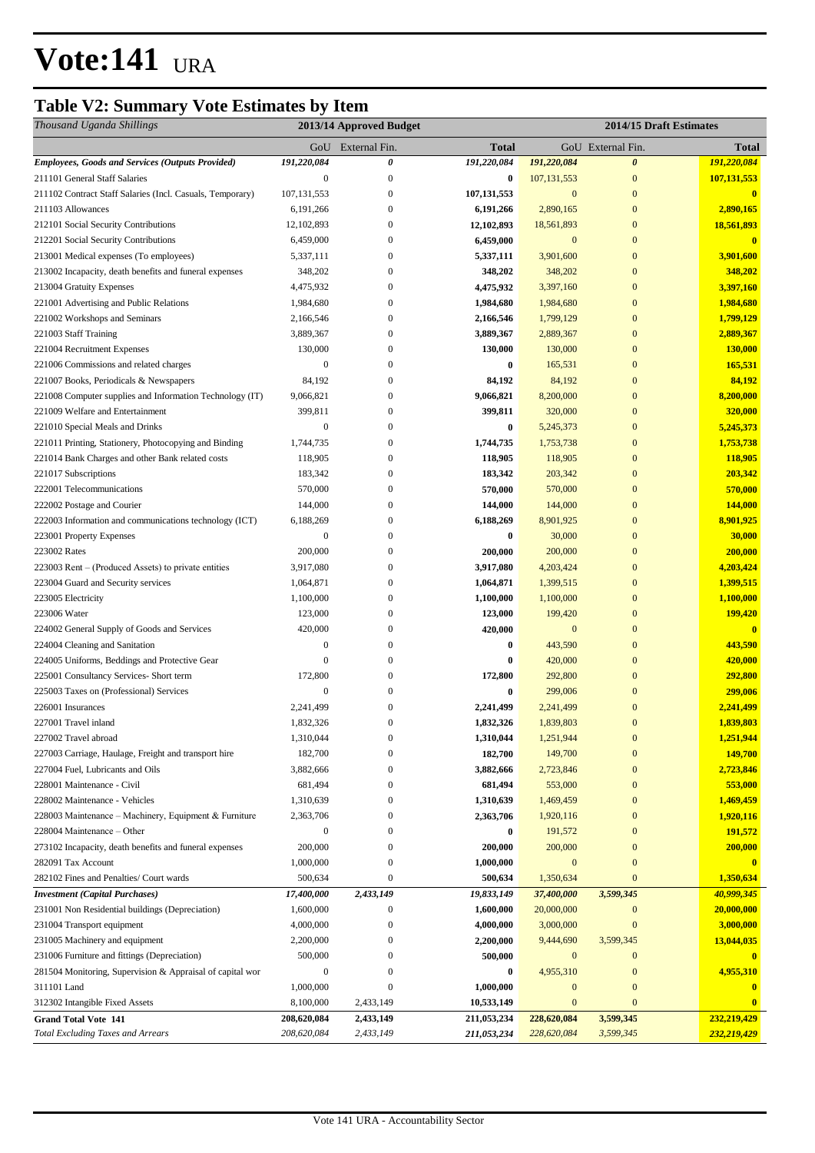## **Table V2: Summary Vote Estimates by Item**

| Thousand Uganda Shillings                                 |                  | 2013/14 Approved Budget |               |                  | 2014/15 Draft Estimates |               |
|-----------------------------------------------------------|------------------|-------------------------|---------------|------------------|-------------------------|---------------|
|                                                           |                  | GoU External Fin.       | <b>Total</b>  |                  | GoU External Fin.       | <b>Total</b>  |
| <b>Employees, Goods and Services (Outputs Provided)</b>   | 191,220,084      | 0                       | 191,220,084   | 191,220,084      | $\boldsymbol{\theta}$   | 191,220,084   |
| 211101 General Staff Salaries                             | $\boldsymbol{0}$ | $\mathbf{0}$            | $\bf{0}$      | 107, 131, 553    | $\mathbf{0}$            | 107, 131, 553 |
| 211102 Contract Staff Salaries (Incl. Casuals, Temporary) | 107, 131, 553    | $\mathbf{0}$            | 107, 131, 553 | $\mathbf{0}$     | $\mathbf{0}$            | $\mathbf{0}$  |
| 211103 Allowances                                         | 6,191,266        | $\mathbf{0}$            | 6,191,266     | 2,890,165        | $\mathbf{0}$            | 2,890,165     |
| 212101 Social Security Contributions                      | 12, 102, 893     | $\mathbf{0}$            | 12,102,893    | 18,561,893       | $\mathbf{0}$            | 18,561,893    |
| 212201 Social Security Contributions                      | 6,459,000        | $\mathbf{0}$            | 6,459,000     | $\mathbf{0}$     | $\mathbf{0}$            | $\mathbf{0}$  |
| 213001 Medical expenses (To employees)                    | 5,337,111        | $\mathbf{0}$            | 5,337,111     | 3,901,600        | $\mathbf{0}$            | 3,901,600     |
| 213002 Incapacity, death benefits and funeral expenses    | 348,202          | $\boldsymbol{0}$        | 348,202       | 348,202          | $\mathbf{0}$            | 348,202       |
| 213004 Gratuity Expenses                                  | 4,475,932        | $\boldsymbol{0}$        | 4,475,932     | 3,397,160        | $\overline{0}$          | 3,397,160     |
| 221001 Advertising and Public Relations                   | 1,984,680        | $\overline{0}$          | 1,984,680     | 1,984,680        | $\overline{0}$          | 1,984,680     |
| 221002 Workshops and Seminars                             | 2,166,546        | $\mathbf{0}$            | 2,166,546     | 1,799,129        | $\mathbf{0}$            | 1,799,129     |
| 221003 Staff Training                                     | 3,889,367        | $\mathbf{0}$            | 3,889,367     | 2,889,367        | $\mathbf{0}$            | 2,889,367     |
| 221004 Recruitment Expenses                               | 130,000          | $\mathbf{0}$            | 130,000       | 130,000          | $\overline{0}$          | 130,000       |
| 221006 Commissions and related charges                    | $\boldsymbol{0}$ | $\Omega$                | 0             | 165,531          | $\overline{0}$          | 165,531       |
| 221007 Books, Periodicals & Newspapers                    | 84,192           | $\Omega$                | 84,192        | 84,192           | $\overline{0}$          | 84,192        |
| 221008 Computer supplies and Information Technology (IT)  | 9,066,821        | $\mathbf{0}$            | 9,066,821     | 8,200,000        | $\mathbf{0}$            | 8,200,000     |
| 221009 Welfare and Entertainment                          | 399,811          | $\mathbf{0}$            | 399,811       | 320,000          | $\mathbf{0}$            | 320,000       |
| 221010 Special Meals and Drinks                           | $\boldsymbol{0}$ | $\boldsymbol{0}$        | $\bf{0}$      | 5,245,373        | $\mathbf{0}$            | 5,245,373     |
| 221011 Printing, Stationery, Photocopying and Binding     | 1,744,735        | $\mathbf{0}$            | 1,744,735     | 1,753,738        | $\overline{0}$          | 1,753,738     |
| 221014 Bank Charges and other Bank related costs          | 118,905          | $\overline{0}$          | 118,905       | 118,905          | $\mathbf{0}$            | 118,905       |
| 221017 Subscriptions                                      | 183,342          | $\mathbf{0}$            | 183,342       | 203,342          | $\mathbf{0}$            | 203,342       |
| 222001 Telecommunications                                 | 570,000          | $\mathbf{0}$            | 570,000       | 570,000          | $\mathbf{0}$            | 570,000       |
| 222002 Postage and Courier                                | 144,000          | $\mathbf{0}$            | 144,000       | 144,000          | $\mathbf{0}$            | 144,000       |
| 222003 Information and communications technology (ICT)    | 6,188,269        | $\mathbf{0}$            | 6,188,269     | 8,901,925        | $\overline{0}$          | 8,901,925     |
| 223001 Property Expenses                                  | $\boldsymbol{0}$ | $\mathbf{0}$            | 0             | 30,000           | $\mathbf{0}$            | 30,000        |
| 223002 Rates                                              | 200,000          | $\mathbf{0}$            | 200,000       | 200,000          | $\mathbf{0}$            | 200,000       |
| 223003 Rent – (Produced Assets) to private entities       | 3,917,080        | $\boldsymbol{0}$        | 3,917,080     | 4,203,424        | $\mathbf{0}$            | 4,203,424     |
| 223004 Guard and Security services                        | 1,064,871        | $\Omega$                | 1,064,871     | 1,399,515        | $\overline{0}$          | 1,399,515     |
| 223005 Electricity                                        | 1,100,000        | $\Omega$                | 1,100,000     | 1,100,000        | $\overline{0}$          | 1,100,000     |
| 223006 Water                                              | 123,000          | $\mathbf{0}$            | 123,000       | 199,420          | $\mathbf{0}$            | 199,420       |
| 224002 General Supply of Goods and Services               | 420,000          | $\mathbf{0}$            | 420,000       | $\mathbf{0}$     | $\mathbf{0}$            | $\bf{0}$      |
| 224004 Cleaning and Sanitation                            | $\boldsymbol{0}$ | $\mathbf{0}$            | 0             | 443,590          | $\mathbf{0}$            | 443,590       |
| 224005 Uniforms, Beddings and Protective Gear             | 0                | $\Omega$                | 0             | 420,000          | $\mathbf{0}$            | 420,000       |
| 225001 Consultancy Services- Short term                   | 172,800          | $\mathbf{0}$            | 172,800       | 292,800          | $\mathbf{0}$            | 292,800       |
| 225003 Taxes on (Professional) Services                   | $\boldsymbol{0}$ | $\mathbf{0}$            | 0             | 299,006          | $\bf{0}$                | 299,006       |
| 226001 Insurances                                         | 2,241,499        | 0                       | 2,241,499     | 2,241,499        | $\overline{0}$          | 2,241,499     |
| 227001 Travel inland                                      | 1,832,326        | $\overline{0}$          | 1,832,326     | 1,839,803        | $\mathbf{0}$            | 1,839,803     |
| 227002 Travel abroad                                      | 1,310,044        | $\mathbf{0}$            | 1,310,044     | 1,251,944        | $\bf{0}$                | 1,251,944     |
| 227003 Carriage, Haulage, Freight and transport hire      | 182,700          | $\Omega$                | 182,700       | 149,700          | $\overline{0}$          | 149,700       |
| 227004 Fuel, Lubricants and Oils                          | 3,882,666        | $\mathbf{0}$            | 3,882,666     | 2,723,846        | $\overline{0}$          | 2,723,846     |
| 228001 Maintenance - Civil                                | 681,494          | $\boldsymbol{0}$        | 681,494       | 553,000          | $\mathbf{0}$            | 553,000       |
| 228002 Maintenance - Vehicles                             | 1,310,639        | $\mathbf{0}$            | 1,310,639     | 1,469,459        | $\mathbf{0}$            | 1,469,459     |
| 228003 Maintenance – Machinery, Equipment & Furniture     | 2,363,706        | $\Omega$                | 2,363,706     | 1,920,116        | $\overline{0}$          | 1,920,116     |
| 228004 Maintenance – Other                                | $\boldsymbol{0}$ | $\mathbf{0}$            | 0             | 191,572          | $\overline{0}$          | 191,572       |
| 273102 Incapacity, death benefits and funeral expenses    | 200,000          | $\mathbf{0}$            | 200,000       | 200,000          | $\overline{0}$          | 200,000       |
| 282091 Tax Account                                        | 1,000,000        | $\boldsymbol{0}$        | 1,000,000     | $\boldsymbol{0}$ | $\overline{0}$          | $\bf{0}$      |
| 282102 Fines and Penalties/ Court wards                   | 500,634          | $\overline{0}$          | 500,634       | 1,350,634        | $\overline{0}$          | 1,350,634     |
| <b>Investment</b> (Capital Purchases)                     | 17,400,000       | 2,433,149               | 19,833,149    | 37,400,000       | 3,599,345               | 40,999,345    |
| 231001 Non Residential buildings (Depreciation)           | 1,600,000        | $\boldsymbol{0}$        | 1,600,000     | 20,000,000       | $\bf{0}$                | 20,000,000    |
| 231004 Transport equipment                                | 4,000,000        | $\boldsymbol{0}$        | 4,000,000     | 3,000,000        | $\mathbf{0}$            | 3,000,000     |
| 231005 Machinery and equipment                            | 2,200,000        | $\mathbf{0}$            | 2,200,000     | 9,444,690        | 3,599,345               | 13,044,035    |
| 231006 Furniture and fittings (Depreciation)              | 500,000          | $\mathbf{0}$            | 500,000       | $\mathbf{0}$     | $\boldsymbol{0}$        |               |
| 281504 Monitoring, Supervision & Appraisal of capital wor | $\boldsymbol{0}$ | $\mathbf{0}$            | 0             | 4,955,310        | $\mathbf{0}$            | 4,955,310     |
| 311101 Land                                               | 1,000,000        | 0                       | 1,000,000     | $\boldsymbol{0}$ | $\bf{0}$                | $\bf{0}$      |
| 312302 Intangible Fixed Assets                            | 8,100,000        | 2,433,149               | 10,533,149    | $\mathbf{0}$     | $\mathbf{0}$            | $\bf{0}$      |
| <b>Grand Total Vote 141</b>                               | 208,620,084      | 2,433,149               | 211,053,234   | 228,620,084      | 3,599,345               | 232,219,429   |
| <b>Total Excluding Taxes and Arrears</b>                  | 208,620,084      | 2,433,149               | 211,053,234   | 228,620,084      | 3,599,345               | 232,219,429   |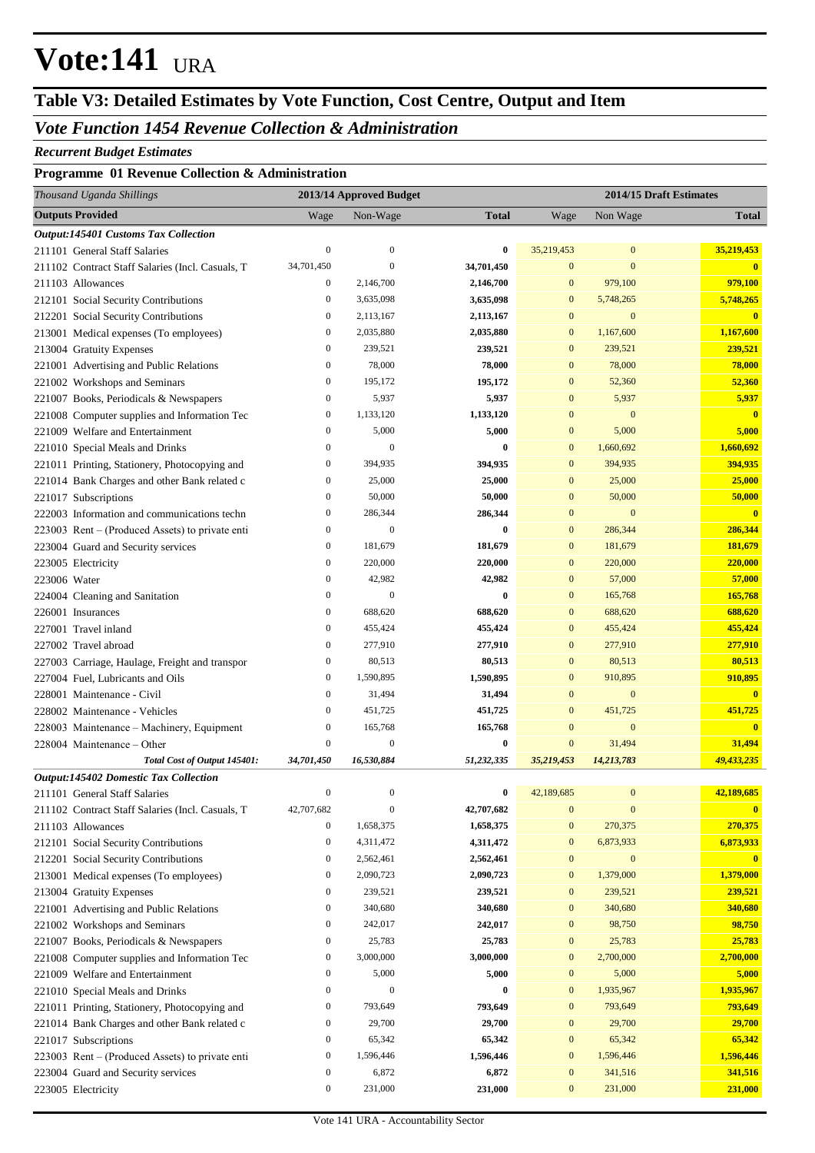## **Table V3: Detailed Estimates by Vote Function, Cost Centre, Output and Item**

### *Vote Function 1454 Revenue Collection & Administration*

#### *Recurrent Budget Estimates*

### **Programme 01 Revenue Collection & Administration**

| Thousand Uganda Shillings                        |                  | 2013/14 Approved Budget |              |                  |                  | 2014/15 Draft Estimates |
|--------------------------------------------------|------------------|-------------------------|--------------|------------------|------------------|-------------------------|
| <b>Outputs Provided</b>                          | Wage             | Non-Wage                | <b>Total</b> | Wage             | Non Wage         | <b>Total</b>            |
| <b>Output:145401 Customs Tax Collection</b>      |                  |                         |              |                  |                  |                         |
| 211101 General Staff Salaries                    | $\boldsymbol{0}$ | $\mathbf{0}$            | 0            | 35,219,453       | $\mathbf{0}$     | 35,219,453              |
| 211102 Contract Staff Salaries (Incl. Casuals, T | 34,701,450       | $\mathbf{0}$            | 34,701,450   | $\boldsymbol{0}$ | $\mathbf{0}$     | $\bf{0}$                |
| 211103 Allowances                                | $\boldsymbol{0}$ | 2,146,700               | 2,146,700    | $\mathbf{0}$     | 979,100          | 979,100                 |
| 212101 Social Security Contributions             | $\boldsymbol{0}$ | 3,635,098               | 3,635,098    | $\boldsymbol{0}$ | 5,748,265        | 5,748,265               |
| 212201 Social Security Contributions             | $\boldsymbol{0}$ | 2,113,167               | 2,113,167    | $\mathbf{0}$     | $\mathbf{0}$     | $\overline{\mathbf{0}}$ |
| 213001 Medical expenses (To employees)           | $\bf{0}$         | 2,035,880               | 2,035,880    | $\boldsymbol{0}$ | 1,167,600        | 1,167,600               |
| 213004 Gratuity Expenses                         | $\boldsymbol{0}$ | 239,521                 | 239,521      | $\mathbf{0}$     | 239,521          | 239,521                 |
| 221001 Advertising and Public Relations          | $\boldsymbol{0}$ | 78,000                  | 78,000       | $\mathbf{0}$     | 78,000           | 78,000                  |
| 221002 Workshops and Seminars                    | $\boldsymbol{0}$ | 195,172                 | 195,172      | $\mathbf{0}$     | 52,360           | 52,360                  |
| 221007 Books, Periodicals & Newspapers           | $\boldsymbol{0}$ | 5,937                   | 5,937        | $\mathbf{0}$     | 5,937            | 5,937                   |
| 221008 Computer supplies and Information Tec     | $\boldsymbol{0}$ | 1,133,120               | 1,133,120    | $\mathbf{0}$     | $\mathbf{0}$     | $\mathbf{0}$            |
| 221009 Welfare and Entertainment                 | $\boldsymbol{0}$ | 5,000                   | 5,000        | $\mathbf{0}$     | 5,000            | 5,000                   |
| 221010 Special Meals and Drinks                  | $\boldsymbol{0}$ | $\mathbf{0}$            | 0            | $\mathbf{0}$     | 1,660,692        | 1,660,692               |
| 221011 Printing, Stationery, Photocopying and    | $\boldsymbol{0}$ | 394,935                 | 394,935      | $\mathbf{0}$     | 394,935          | 394,935                 |
| 221014 Bank Charges and other Bank related c     | $\boldsymbol{0}$ | 25,000                  | 25,000       | $\mathbf{0}$     | 25,000           | 25,000                  |
| 221017 Subscriptions                             | $\boldsymbol{0}$ | 50,000                  | 50,000       | $\mathbf{0}$     | 50,000           | 50,000                  |
| 222003 Information and communications techn      | $\boldsymbol{0}$ | 286,344                 | 286,344      | $\mathbf{0}$     | $\boldsymbol{0}$ | $\mathbf{0}$            |
| 223003 Rent – (Produced Assets) to private enti  | $\boldsymbol{0}$ | $\boldsymbol{0}$        | $\bf{0}$     | $\mathbf{0}$     | 286,344          | 286,344                 |
| 223004 Guard and Security services               | $\bf{0}$         | 181,679                 | 181,679      | $\mathbf{0}$     | 181,679          | 181,679                 |
| 223005 Electricity                               | $\bf{0}$         | 220,000                 | 220,000      | $\mathbf{0}$     | 220,000          | 220,000                 |
| 223006 Water                                     | $\boldsymbol{0}$ | 42,982                  | 42,982       | $\mathbf{0}$     | 57,000           | 57,000                  |
| 224004 Cleaning and Sanitation                   | $\boldsymbol{0}$ | $\boldsymbol{0}$        | 0            | $\mathbf{0}$     | 165,768          | 165,768                 |
| 226001 Insurances                                | $\boldsymbol{0}$ | 688,620                 | 688,620      | $\mathbf{0}$     | 688,620          | 688,620                 |
| 227001 Travel inland                             | $\bf{0}$         | 455,424                 | 455,424      | $\mathbf{0}$     | 455,424          | 455,424                 |
| 227002 Travel abroad                             | $\boldsymbol{0}$ | 277,910                 | 277,910      | $\mathbf{0}$     | 277,910          | 277,910                 |
| 227003 Carriage, Haulage, Freight and transpor   | $\boldsymbol{0}$ | 80,513                  | 80,513       | $\mathbf{0}$     | 80,513           | 80,513                  |
| 227004 Fuel, Lubricants and Oils                 | $\boldsymbol{0}$ | 1,590,895               | 1,590,895    | $\mathbf{0}$     | 910,895          | 910,895                 |
| 228001 Maintenance - Civil                       | $\bf{0}$         | 31,494                  | 31,494       | $\mathbf{0}$     | $\mathbf{0}$     | $\mathbf{0}$            |
| 228002 Maintenance - Vehicles                    | $\boldsymbol{0}$ | 451,725                 | 451,725      | $\mathbf{0}$     | 451,725          | 451,725                 |
| 228003 Maintenance - Machinery, Equipment        | $\boldsymbol{0}$ | 165,768                 | 165,768      | $\mathbf{0}$     | $\mathbf{0}$     | $\mathbf{0}$            |
| 228004 Maintenance – Other                       | $\boldsymbol{0}$ | $\boldsymbol{0}$        | $\bf{0}$     | $\mathbf{0}$     | 31,494           | 31,494                  |
| Total Cost of Output 145401:                     | 34,701,450       | 16,530,884              | 51,232,335   | 35,219,453       | 14,213,783       | 49,433,235              |
| Output:145402 Domestic Tax Collection            |                  |                         |              |                  |                  |                         |
| 211101 General Staff Salaries                    | $\boldsymbol{0}$ | $\boldsymbol{0}$        | $\bf{0}$     | 42,189,685       | $\mathbf{0}$     | 42,189,685              |
| 211102 Contract Staff Salaries (Incl. Casuals, T | 42,707,682       | $\boldsymbol{0}$        | 42,707,682   | $\mathbf{0}$     | $\boldsymbol{0}$ | $\overline{\mathbf{0}}$ |
| 211103 Allowances                                | $\boldsymbol{0}$ | 1,658,375               | 1,658,375    | $\boldsymbol{0}$ | 270,375          | 270,375                 |
| 212101 Social Security Contributions             | $\boldsymbol{0}$ | 4,311,472               | 4,311,472    | $\boldsymbol{0}$ | 6,873,933        | 6,873,933               |
| 212201 Social Security Contributions             | $\boldsymbol{0}$ | 2,562,461               | 2,562,461    | $\boldsymbol{0}$ | $\boldsymbol{0}$ | $\bf{0}$                |
| 213001 Medical expenses (To employees)           | $\boldsymbol{0}$ | 2,090,723               | 2,090,723    | $\boldsymbol{0}$ | 1,379,000        | 1,379,000               |
| 213004 Gratuity Expenses                         | $\boldsymbol{0}$ | 239,521                 | 239,521      | $\boldsymbol{0}$ | 239,521          | 239,521                 |
| 221001 Advertising and Public Relations          | $\boldsymbol{0}$ | 340,680                 | 340,680      | $\boldsymbol{0}$ | 340,680          | 340,680                 |
| 221002 Workshops and Seminars                    | $\boldsymbol{0}$ | 242,017                 | 242,017      | $\boldsymbol{0}$ | 98,750           | 98,750                  |
| 221007 Books, Periodicals & Newspapers           | $\boldsymbol{0}$ | 25,783                  | 25,783       | $\boldsymbol{0}$ | 25,783           | 25,783                  |
| 221008 Computer supplies and Information Tec     | $\boldsymbol{0}$ | 3,000,000               | 3,000,000    | $\boldsymbol{0}$ | 2,700,000        | 2,700,000               |
| 221009 Welfare and Entertainment                 | $\boldsymbol{0}$ | 5,000                   | 5,000        | $\boldsymbol{0}$ | 5,000            | 5,000                   |
| 221010 Special Meals and Drinks                  | $\boldsymbol{0}$ | $\boldsymbol{0}$        | $\bf{0}$     | $\boldsymbol{0}$ | 1,935,967        | 1,935,967               |
| 221011 Printing, Stationery, Photocopying and    | $\boldsymbol{0}$ | 793,649                 | 793,649      | $\boldsymbol{0}$ | 793,649          | 793,649                 |
| 221014 Bank Charges and other Bank related c     | $\boldsymbol{0}$ | 29,700                  | 29,700       | $\boldsymbol{0}$ | 29,700           | 29,700                  |
| 221017 Subscriptions                             | $\boldsymbol{0}$ | 65,342                  | 65,342       | $\boldsymbol{0}$ | 65,342           | 65,342                  |
| 223003 Rent – (Produced Assets) to private enti  | $\boldsymbol{0}$ | 1,596,446               | 1,596,446    | $\boldsymbol{0}$ | 1,596,446        | 1,596,446               |
| 223004 Guard and Security services               | $\boldsymbol{0}$ | 6,872                   | 6,872        | $\boldsymbol{0}$ | 341,516          | 341,516                 |
| 223005 Electricity                               | $\boldsymbol{0}$ | 231,000                 | 231,000      | $\boldsymbol{0}$ | 231,000          | 231,000                 |
|                                                  |                  |                         |              |                  |                  |                         |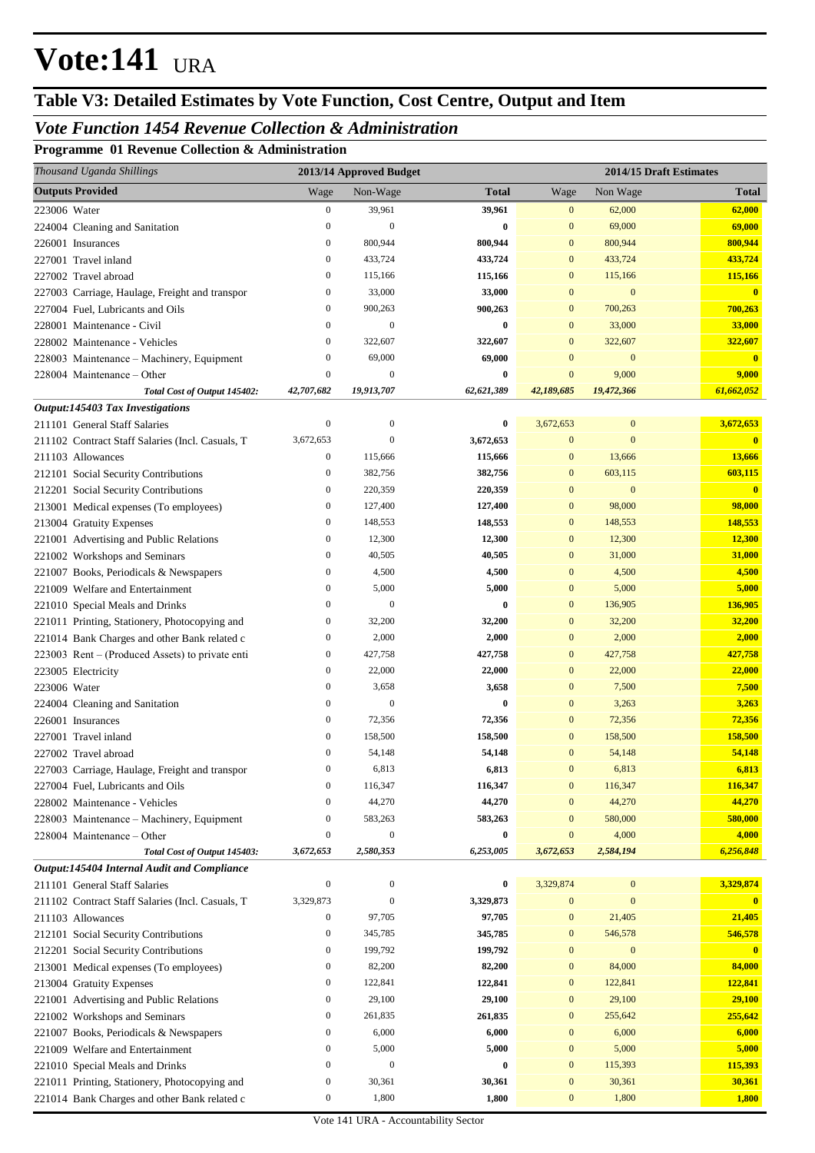## **Table V3: Detailed Estimates by Vote Function, Cost Centre, Output and Item**

### *Vote Function 1454 Revenue Collection & Administration*

**Programme 01 Revenue Collection & Administration**

| Thousand Uganda Shillings                        |                                      | 2013/14 Approved Budget   |                   |                              |                  | 2014/15 Draft Estimates |
|--------------------------------------------------|--------------------------------------|---------------------------|-------------------|------------------------------|------------------|-------------------------|
| <b>Outputs Provided</b>                          | Wage                                 | Non-Wage                  | <b>Total</b>      | Wage                         | Non Wage         | Total                   |
| 223006 Water                                     | $\boldsymbol{0}$                     | 39,961                    | 39,961            | $\mathbf{0}$                 | 62,000           | 62,000                  |
| 224004 Cleaning and Sanitation                   | $\mathbf{0}$                         | $\mathbf{0}$              | 0                 | $\mathbf{0}$                 | 69,000           | 69,000                  |
| 226001 Insurances                                | $\boldsymbol{0}$                     | 800,944                   | 800,944           | $\boldsymbol{0}$             | 800,944          | 800,944                 |
| 227001 Travel inland                             | $\boldsymbol{0}$                     | 433,724                   | 433,724           | $\mathbf{0}$                 | 433,724          | 433,724                 |
| 227002 Travel abroad                             | $\boldsymbol{0}$                     | 115,166                   | 115,166           | $\mathbf{0}$                 | 115,166          | 115,166                 |
| 227003 Carriage, Haulage, Freight and transpor   | $\boldsymbol{0}$                     | 33,000                    | 33,000            | $\mathbf{0}$                 | $\mathbf{0}$     | $\mathbf{0}$            |
| 227004 Fuel, Lubricants and Oils                 | $\boldsymbol{0}$                     | 900,263                   | 900,263           | $\mathbf{0}$                 | 700,263          | 700,263                 |
| 228001 Maintenance - Civil                       | $\mathbf{0}$                         | $\mathbf{0}$              | 0                 | $\mathbf{0}$                 | 33,000           | 33,000                  |
| 228002 Maintenance - Vehicles                    | $\boldsymbol{0}$                     | 322,607                   | 322,607           | $\mathbf{0}$                 | 322,607          | 322,607                 |
| 228003 Maintenance - Machinery, Equipment        | $\boldsymbol{0}$                     | 69,000                    | 69,000            | $\mathbf{0}$                 | $\mathbf{0}$     | $\mathbf{0}$            |
| 228004 Maintenance – Other                       | $\mathbf{0}$                         | $\mathbf{0}$              | 0                 | $\mathbf{0}$                 | 9,000            | 9,000                   |
| Total Cost of Output 145402:                     | 42,707,682                           | 19,913,707                | 62,621,389        | 42,189,685                   | 19,472,366       | 61,662,052              |
| Output:145403 Tax Investigations                 |                                      |                           |                   |                              |                  |                         |
| 211101 General Staff Salaries                    | $\mathbf{0}$                         | $\boldsymbol{0}$          | 0                 | 3,672,653                    | $\boldsymbol{0}$ | 3,672,653               |
| 211102 Contract Staff Salaries (Incl. Casuals, T | 3,672,653                            | $\mathbf{0}$              | 3,672,653         | $\bf{0}$                     | $\mathbf{0}$     | $\mathbf{0}$            |
| 211103 Allowances                                | $\boldsymbol{0}$                     | 115,666                   | 115,666           | $\mathbf{0}$                 | 13,666           | 13,666                  |
| 212101 Social Security Contributions             | $\boldsymbol{0}$                     | 382,756                   | 382,756           | $\mathbf{0}$                 | 603,115          | 603,115                 |
| 212201 Social Security Contributions             | $\boldsymbol{0}$                     | 220,359                   | 220,359           | $\mathbf{0}$                 | $\mathbf{0}$     | $\mathbf{0}$            |
| 213001 Medical expenses (To employees)           | $\boldsymbol{0}$                     | 127,400                   | 127,400           | $\mathbf{0}$                 | 98,000           | 98,000                  |
| 213004 Gratuity Expenses                         | $\boldsymbol{0}$                     | 148,553                   | 148,553           | $\mathbf{0}$                 | 148,553          | 148,553                 |
| 221001 Advertising and Public Relations          | $\boldsymbol{0}$                     | 12,300                    | 12,300            | $\mathbf{0}$                 | 12,300           | 12,300                  |
| 221002 Workshops and Seminars                    | $\boldsymbol{0}$                     | 40,505                    | 40,505            | $\mathbf{0}$                 | 31,000           | 31,000                  |
| 221007 Books, Periodicals & Newspapers           | $\boldsymbol{0}$                     | 4,500                     | 4,500             | $\mathbf{0}$                 | 4,500            | 4,500                   |
| 221009 Welfare and Entertainment                 | $\boldsymbol{0}$                     | 5,000                     | 5,000             | $\mathbf{0}$                 | 5,000            | 5,000                   |
| 221010 Special Meals and Drinks                  | $\boldsymbol{0}$                     | $\mathbf{0}$              | 0                 | $\mathbf{0}$                 | 136,905          | 136,905                 |
| 221011 Printing, Stationery, Photocopying and    | $\boldsymbol{0}$                     | 32,200                    | 32,200            | $\mathbf{0}$                 | 32,200           | 32,200                  |
| 221014 Bank Charges and other Bank related c     | $\boldsymbol{0}$                     | 2,000                     | 2,000             | $\mathbf{0}$                 | 2,000            | 2,000                   |
| 223003 Rent – (Produced Assets) to private enti  | $\boldsymbol{0}$                     | 427,758                   | 427,758           | $\mathbf{0}$                 | 427,758          | 427,758                 |
| 223005 Electricity                               | $\boldsymbol{0}$<br>$\boldsymbol{0}$ | 22,000                    | 22,000            | $\mathbf{0}$<br>$\mathbf{0}$ | 22,000           | 22,000                  |
| 223006 Water                                     | $\boldsymbol{0}$                     | 3,658<br>$\boldsymbol{0}$ | 3,658<br>0        | $\mathbf{0}$                 | 7,500<br>3,263   | 7,500                   |
| 224004 Cleaning and Sanitation                   | $\boldsymbol{0}$                     | 72,356                    |                   | $\mathbf{0}$                 | 72,356           | 3,263<br>72,356         |
| 226001 Insurances<br>227001 Travel inland        | $\boldsymbol{0}$                     | 158,500                   | 72,356<br>158,500 | $\mathbf{0}$                 | 158,500          | 158,500                 |
| 227002 Travel abroad                             | $\boldsymbol{0}$                     | 54,148                    | 54,148            | $\mathbf{0}$                 | 54,148           | 54,148                  |
| 227003 Carriage, Haulage, Freight and transpor   | $\overline{0}$                       | 6,813                     | 6,813             | $\mathbf{0}$                 | 6,813            | 6,813                   |
| 227004 Fuel, Lubricants and Oils                 | $\boldsymbol{0}$                     | 116,347                   | 116,347           | $\mathbf{0}$                 | 116,347          | 116,347                 |
| 228002 Maintenance - Vehicles                    | $\boldsymbol{0}$                     | 44,270                    | 44,270            | $\mathbf{0}$                 | 44,270           | 44,270                  |
| 228003 Maintenance - Machinery, Equipment        | $\boldsymbol{0}$                     | 583,263                   | 583,263           | $\mathbf{0}$                 | 580,000          | 580,000                 |
| 228004 Maintenance – Other                       | $\boldsymbol{0}$                     | $\boldsymbol{0}$          | 0                 | $\boldsymbol{0}$             | 4,000            | 4,000                   |
| Total Cost of Output 145403:                     | 3,672,653                            | 2,580,353                 | 6,253,005         | 3,672,653                    | 2,584,194        | 6,256,848               |
| Output:145404 Internal Audit and Compliance      |                                      |                           |                   |                              |                  |                         |
| 211101 General Staff Salaries                    | $\boldsymbol{0}$                     | $\boldsymbol{0}$          | 0                 | 3,329,874                    | $\boldsymbol{0}$ | 3,329,874               |
| 211102 Contract Staff Salaries (Incl. Casuals, T | 3,329,873                            | $\boldsymbol{0}$          | 3,329,873         | $\boldsymbol{0}$             | $\boldsymbol{0}$ | $\mathbf{0}$            |
| 211103 Allowances                                | $\boldsymbol{0}$                     | 97,705                    | 97,705            | $\boldsymbol{0}$             | 21,405           | 21,405                  |
| 212101 Social Security Contributions             | $\boldsymbol{0}$                     | 345,785                   | 345,785           | $\boldsymbol{0}$             | 546,578          | 546,578                 |
| 212201 Social Security Contributions             | $\boldsymbol{0}$                     | 199,792                   | 199,792           | $\boldsymbol{0}$             | $\boldsymbol{0}$ | $\mathbf{0}$            |
| 213001 Medical expenses (To employees)           | $\boldsymbol{0}$                     | 82,200                    | 82,200            | $\boldsymbol{0}$             | 84,000           | 84,000                  |
| 213004 Gratuity Expenses                         | $\boldsymbol{0}$                     | 122,841                   | 122,841           | $\boldsymbol{0}$             | 122,841          | 122,841                 |
| 221001 Advertising and Public Relations          | $\boldsymbol{0}$                     | 29,100                    | 29,100            | $\boldsymbol{0}$             | 29,100           | 29,100                  |
| 221002 Workshops and Seminars                    | $\boldsymbol{0}$                     | 261,835                   | 261,835           | $\boldsymbol{0}$             | 255,642          | 255,642                 |
| 221007 Books, Periodicals & Newspapers           | $\boldsymbol{0}$                     | 6,000                     | 6,000             | $\boldsymbol{0}$             | 6,000            | 6,000                   |
| 221009 Welfare and Entertainment                 | $\boldsymbol{0}$                     | 5,000                     | 5,000             | $\boldsymbol{0}$             | 5,000            | 5,000                   |
| 221010 Special Meals and Drinks                  | $\boldsymbol{0}$                     | $\boldsymbol{0}$          | 0                 | $\boldsymbol{0}$             | 115,393          | 115,393                 |
| 221011 Printing, Stationery, Photocopying and    | $\boldsymbol{0}$                     | 30,361                    | 30,361            | $\boldsymbol{0}$             | 30,361           | 30,361                  |
| 221014 Bank Charges and other Bank related c     | $\boldsymbol{0}$                     | 1,800                     | 1,800             | $\boldsymbol{0}$             | 1,800            | 1,800                   |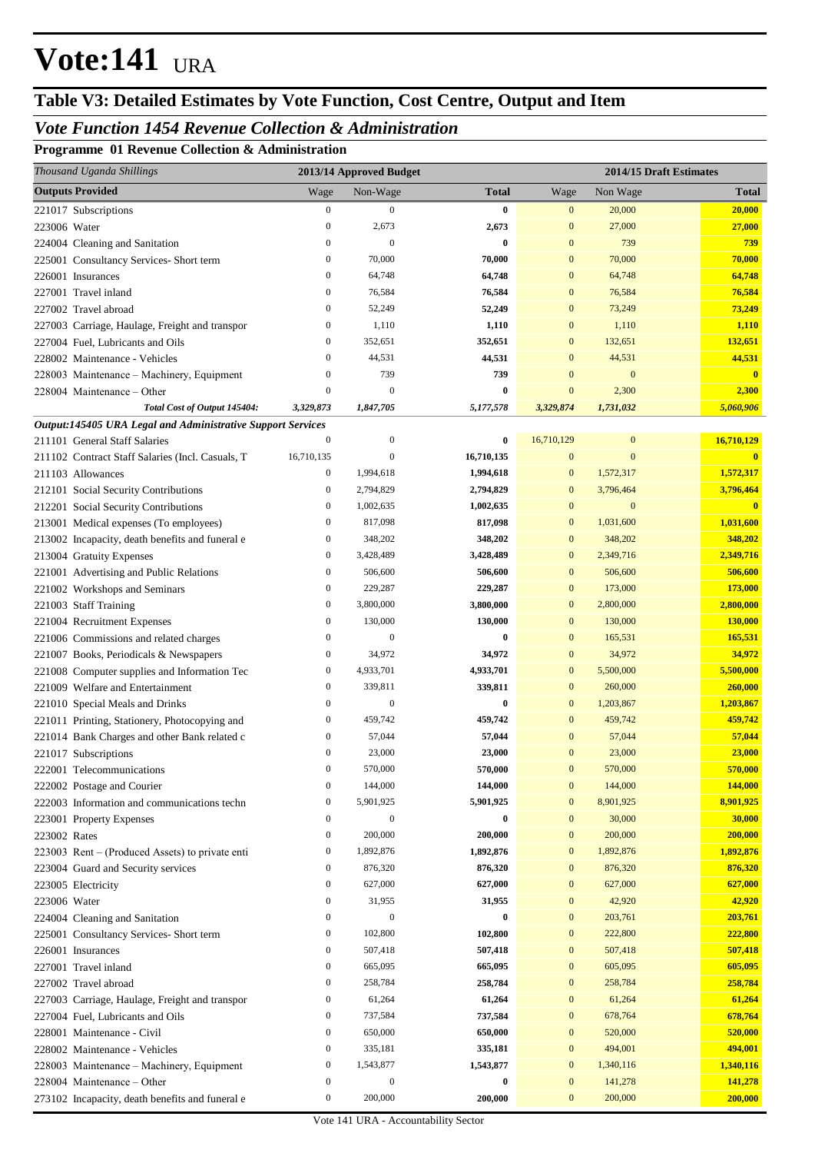## **Table V3: Detailed Estimates by Vote Function, Cost Centre, Output and Item**

#### *Vote Function 1454 Revenue Collection & Administration*

**Programme 01 Revenue Collection & Administration**

| Thousand Uganda Shillings                                                      |                                      | 2013/14 Approved Budget |                      |                              |                           | 2014/15 Draft Estimates   |
|--------------------------------------------------------------------------------|--------------------------------------|-------------------------|----------------------|------------------------------|---------------------------|---------------------------|
| <b>Outputs Provided</b>                                                        | Wage                                 | Non-Wage                | <b>Total</b>         | Wage                         | Non Wage                  | <b>Total</b>              |
| 221017 Subscriptions                                                           | $\boldsymbol{0}$                     | $\boldsymbol{0}$        | $\bf{0}$             | $\boldsymbol{0}$             | 20,000                    | 20,000                    |
| 223006 Water                                                                   | $\mathbf{0}$                         | 2,673                   | 2,673                | $\mathbf{0}$                 | 27,000                    | 27,000                    |
| 224004 Cleaning and Sanitation                                                 | $\mathbf{0}$                         | $\mathbf{0}$            | 0                    | $\mathbf{0}$                 | 739                       | 739                       |
| 225001 Consultancy Services- Short term                                        | $\boldsymbol{0}$                     | 70,000                  | 70,000               | $\mathbf{0}$                 | 70,000                    | 70,000                    |
| 226001 Insurances                                                              | $\mathbf{0}$                         | 64,748                  | 64,748               | $\mathbf{0}$                 | 64,748                    | 64,748                    |
| 227001 Travel inland                                                           | $\boldsymbol{0}$                     | 76,584                  | 76,584               | $\mathbf{0}$                 | 76,584                    | 76,584                    |
| 227002 Travel abroad                                                           | $\mathbf{0}$                         | 52,249                  | 52,249               | $\mathbf{0}$                 | 73,249                    | 73,249                    |
| 227003 Carriage, Haulage, Freight and transpor                                 | $\boldsymbol{0}$                     | 1,110                   | 1,110                | $\mathbf{0}$                 | 1,110                     | 1,110                     |
| 227004 Fuel, Lubricants and Oils                                               | $\boldsymbol{0}$                     | 352,651                 | 352,651              | $\mathbf{0}$                 | 132,651                   | 132,651                   |
| 228002 Maintenance - Vehicles                                                  | $\mathbf{0}$                         | 44,531                  | 44,531               | $\mathbf{0}$                 | 44,531                    | 44,531                    |
| 228003 Maintenance - Machinery, Equipment                                      | $\mathbf{0}$                         | 739                     | 739                  | $\Omega$                     | $\mathbf{0}$              | $\overline{\mathbf{0}}$   |
| 228004 Maintenance – Other                                                     | $\mathbf{0}$                         | $\mathbf{0}$            | 0                    | $\mathbf{0}$                 | 2,300                     | 2,300                     |
| Total Cost of Output 145404:                                                   | 3,329,873                            | 1,847,705               | 5,177,578            | 3,329,874                    | 1,731,032                 | 5,060,906                 |
| Output:145405 URA Legal and Administrative Support Services                    |                                      |                         |                      |                              |                           |                           |
| 211101 General Staff Salaries                                                  | $\mathbf{0}$                         | $\mathbf{0}$            | 0                    | 16,710,129                   | $\mathbf{0}$              | 16,710,129                |
| 211102 Contract Staff Salaries (Incl. Casuals, T                               | 16,710,135                           | $\boldsymbol{0}$        | 16,710,135           | $\mathbf{0}$                 | $\mathbf{0}$              | $\mathbf{0}$              |
| 211103 Allowances                                                              | $\boldsymbol{0}$                     | 1,994,618               | 1,994,618            | $\mathbf{0}$                 | 1,572,317                 | 1,572,317                 |
| 212101 Social Security Contributions                                           | $\boldsymbol{0}$<br>$\boldsymbol{0}$ | 2,794,829<br>1,002,635  | 2,794,829            | $\mathbf{0}$<br>$\mathbf{0}$ | 3,796,464<br>$\mathbf{0}$ | 3,796,464<br>$\mathbf{0}$ |
| 212201 Social Security Contributions<br>213001 Medical expenses (To employees) | $\boldsymbol{0}$                     | 817,098                 | 1,002,635<br>817,098 | $\mathbf{0}$                 | 1,031,600                 | 1,031,600                 |
|                                                                                | $\boldsymbol{0}$                     | 348,202                 | 348,202              | $\mathbf{0}$                 | 348,202                   | 348,202                   |
| 213002 Incapacity, death benefits and funeral e<br>213004 Gratuity Expenses    | $\boldsymbol{0}$                     | 3,428,489               | 3,428,489            | $\mathbf{0}$                 | 2,349,716                 | 2,349,716                 |
| 221001 Advertising and Public Relations                                        | $\boldsymbol{0}$                     | 506,600                 | 506,600              | $\mathbf{0}$                 | 506,600                   | 506,600                   |
| 221002 Workshops and Seminars                                                  | $\mathbf{0}$                         | 229,287                 | 229,287              | $\mathbf{0}$                 | 173,000                   | 173,000                   |
| 221003 Staff Training                                                          | $\mathbf{0}$                         | 3,800,000               | 3,800,000            | $\mathbf{0}$                 | 2,800,000                 | 2,800,000                 |
| 221004 Recruitment Expenses                                                    | $\boldsymbol{0}$                     | 130,000                 | 130,000              | $\mathbf{0}$                 | 130,000                   | 130,000                   |
| 221006 Commissions and related charges                                         | $\mathbf{0}$                         | $\boldsymbol{0}$        | 0                    | $\mathbf{0}$                 | 165,531                   | 165,531                   |
| 221007 Books, Periodicals & Newspapers                                         | $\boldsymbol{0}$                     | 34,972                  | 34,972               | $\mathbf{0}$                 | 34,972                    | 34,972                    |
| 221008 Computer supplies and Information Tec                                   | $\boldsymbol{0}$                     | 4,933,701               | 4,933,701            | $\mathbf{0}$                 | 5,500,000                 | 5,500,000                 |
| 221009 Welfare and Entertainment                                               | $\boldsymbol{0}$                     | 339,811                 | 339,811              | $\mathbf{0}$                 | 260,000                   | 260,000                   |
| 221010 Special Meals and Drinks                                                | $\boldsymbol{0}$                     | $\mathbf{0}$            | 0                    | $\mathbf{0}$                 | 1,203,867                 | 1,203,867                 |
| 221011 Printing, Stationery, Photocopying and                                  | $\boldsymbol{0}$                     | 459,742                 | 459,742              | $\mathbf{0}$                 | 459,742                   | 459,742                   |
| 221014 Bank Charges and other Bank related c                                   | $\boldsymbol{0}$                     | 57,044                  | 57,044               | $\mathbf{0}$                 | 57,044                    | 57,044                    |
| 221017 Subscriptions                                                           | $\boldsymbol{0}$                     | 23,000                  | 23,000               | $\mathbf{0}$                 | 23,000                    | 23,000                    |
| 222001 Telecommunications                                                      | $\boldsymbol{0}$                     | 570,000                 | 570,000              | $\bf{0}$                     | 570,000                   | 570,000                   |
| 222002 Postage and Courier                                                     | 0                                    | 144,000                 | 144,000              | $\boldsymbol{0}$             | 144,000                   | 144,000                   |
| 222003 Information and communications techn                                    | $\boldsymbol{0}$                     | 5,901,925               | 5,901,925            | $\mathbf{0}$                 | 8,901,925                 | 8,901,925                 |
| 223001 Property Expenses                                                       | $\boldsymbol{0}$                     | $\boldsymbol{0}$        | 0                    | $\boldsymbol{0}$             | 30,000                    | 30,000                    |
| 223002 Rates                                                                   | $\boldsymbol{0}$                     | 200,000                 | 200,000              | $\mathbf{0}$                 | 200,000                   | 200,000                   |
| 223003 Rent – (Produced Assets) to private enti                                | $\boldsymbol{0}$                     | 1,892,876               | 1,892,876            | $\boldsymbol{0}$             | 1,892,876                 | 1,892,876                 |
| 223004 Guard and Security services                                             | $\boldsymbol{0}$                     | 876,320                 | 876,320              | $\mathbf{0}$                 | 876,320                   | 876,320                   |
| 223005 Electricity                                                             | $\boldsymbol{0}$                     | 627,000                 | 627,000              | $\mathbf{0}$                 | 627,000                   | 627,000                   |
| 223006 Water                                                                   | $\boldsymbol{0}$                     | 31,955                  | 31,955               | $\mathbf{0}$                 | 42,920                    | 42,920                    |
| 224004 Cleaning and Sanitation                                                 | $\boldsymbol{0}$                     | $\boldsymbol{0}$        | 0                    | $\boldsymbol{0}$             | 203,761                   | 203,761                   |
| 225001 Consultancy Services- Short term                                        | $\boldsymbol{0}$                     | 102,800                 | 102,800              | $\mathbf{0}$                 | 222,800                   | 222,800                   |
| 226001 Insurances                                                              | $\boldsymbol{0}$                     | 507,418                 | 507,418              | $\mathbf{0}$                 | 507,418                   | 507,418                   |
| 227001 Travel inland                                                           | $\boldsymbol{0}$                     | 665,095                 | 665,095              | $\mathbf{0}$                 | 605,095                   | 605,095                   |
| 227002 Travel abroad                                                           | $\boldsymbol{0}$                     | 258,784                 | 258,784              | $\mathbf{0}$                 | 258,784                   | 258,784                   |
| 227003 Carriage, Haulage, Freight and transpor                                 | $\boldsymbol{0}$                     | 61,264                  | 61,264               | $\boldsymbol{0}$             | 61,264                    | 61,264                    |
| 227004 Fuel, Lubricants and Oils                                               | $\boldsymbol{0}$                     | 737,584                 | 737,584              | $\boldsymbol{0}$             | 678,764                   | 678,764                   |
| 228001 Maintenance - Civil                                                     | $\boldsymbol{0}$                     | 650,000                 | 650,000              | $\boldsymbol{0}$             | 520,000                   | 520,000                   |
| 228002 Maintenance - Vehicles                                                  | $\boldsymbol{0}$                     | 335,181                 | 335,181              | $\boldsymbol{0}$             | 494,001                   | 494,001                   |
| 228003 Maintenance - Machinery, Equipment                                      | $\boldsymbol{0}$                     | 1,543,877               | 1,543,877            | $\boldsymbol{0}$             | 1,340,116                 | 1,340,116                 |
| 228004 Maintenance – Other                                                     | $\boldsymbol{0}$                     | $\boldsymbol{0}$        | 0                    | $\boldsymbol{0}$             | 141,278                   | 141,278                   |
| 273102 Incapacity, death benefits and funeral e                                | $\boldsymbol{0}$                     | 200,000                 | 200,000              | $\mathbf{0}$                 | 200,000                   | 200,000                   |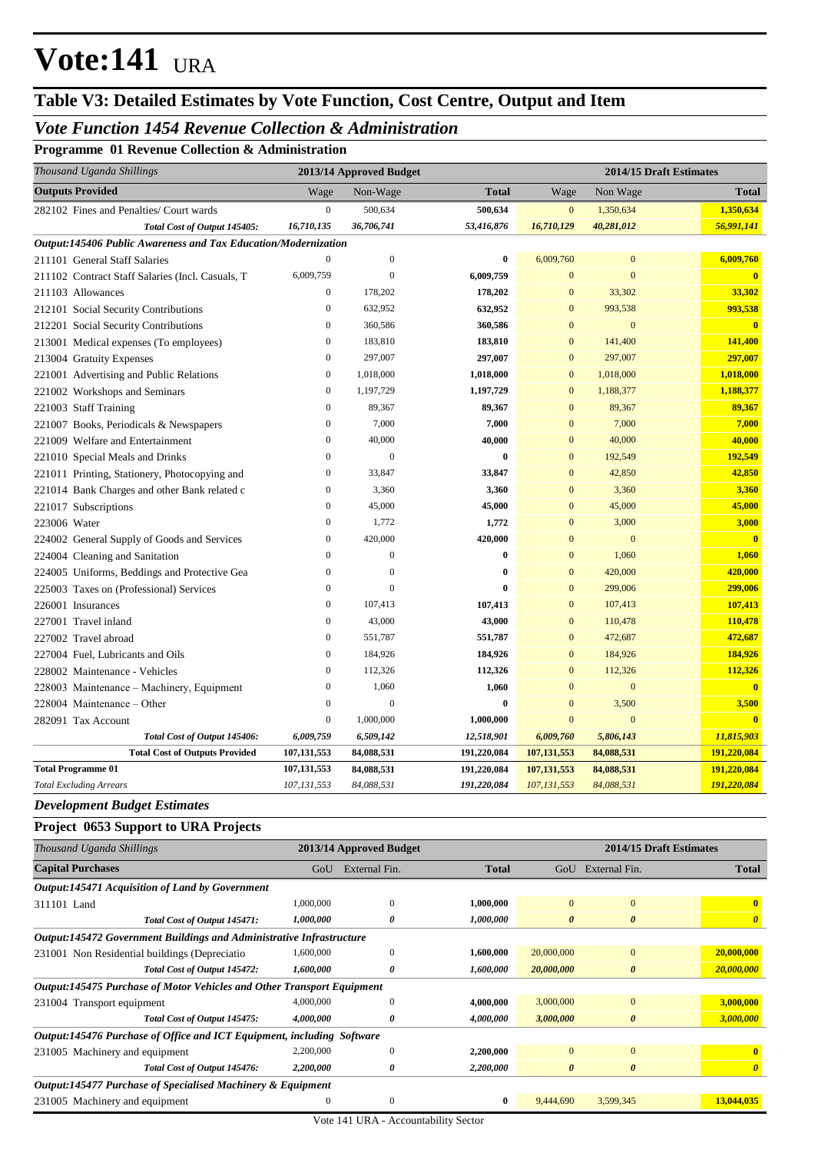## **Table V3: Detailed Estimates by Vote Function, Cost Centre, Output and Item**

### *Vote Function 1454 Revenue Collection & Administration*

**Programme 01 Revenue Collection & Administration**

| Thousand Uganda Shillings                                      |                  | 2013/14 Approved Budget |             |                  |                | 2014/15 Draft Estimates |
|----------------------------------------------------------------|------------------|-------------------------|-------------|------------------|----------------|-------------------------|
| <b>Outputs Provided</b>                                        | Wage             | Non-Wage                | Total       | Wage             | Non Wage       | <b>Total</b>            |
| 282102 Fines and Penalties/ Court wards                        | $\boldsymbol{0}$ | 500,634                 | 500,634     | $\boldsymbol{0}$ | 1,350,634      | 1,350,634               |
| Total Cost of Output 145405:                                   | 16,710,135       | 36,706,741              | 53,416,876  | 16,710,129       | 40,281,012     | 56,991,141              |
| Output:145406 Public Awareness and Tax Education/Modernization |                  |                         |             |                  |                |                         |
| 211101 General Staff Salaries                                  | $\mathbf{0}$     | $\boldsymbol{0}$        | $\bf{0}$    | 6,009,760        | $\mathbf{0}$   | 6,009,760               |
| 211102 Contract Staff Salaries (Incl. Casuals, T               | 6,009,759        | $\overline{0}$          | 6,009,759   | $\Omega$         | $\overline{0}$ | $\mathbf{0}$            |
| 211103 Allowances                                              | $\mathbf{0}$     | 178,202                 | 178,202     | $\mathbf{0}$     | 33,302         | 33,302                  |
| 212101 Social Security Contributions                           | $\mathbf{0}$     | 632,952                 | 632,952     | $\mathbf{0}$     | 993,538        | 993,538                 |
| 212201 Social Security Contributions                           | $\mathbf{0}$     | 360,586                 | 360,586     | $\mathbf{0}$     | $\mathbf{0}$   | $\overline{\mathbf{0}}$ |
| 213001 Medical expenses (To employees)                         | $\overline{0}$   | 183,810                 | 183,810     | $\overline{0}$   | 141,400        | 141,400                 |
| 213004 Gratuity Expenses                                       | $\mathbf{0}$     | 297,007                 | 297,007     | $\overline{0}$   | 297,007        | 297,007                 |
| 221001 Advertising and Public Relations                        | $\mathbf{0}$     | 1,018,000               | 1,018,000   | $\mathbf{0}$     | 1,018,000      | 1,018,000               |
| 221002 Workshops and Seminars                                  | $\mathbf{0}$     | 1,197,729               | 1,197,729   | $\mathbf{0}$     | 1,188,377      | 1,188,377               |
| 221003 Staff Training                                          | $\overline{0}$   | 89,367                  | 89,367      | $\mathbf{0}$     | 89,367         | 89,367                  |
| 221007 Books, Periodicals & Newspapers                         | $\mathbf{0}$     | 7,000                   | 7,000       | $\mathbf{0}$     | 7,000          | 7,000                   |
| 221009 Welfare and Entertainment                               | $\boldsymbol{0}$ | 40,000                  | 40,000      | $\mathbf{0}$     | 40,000         | 40,000                  |
| 221010 Special Meals and Drinks                                | $\mathbf{0}$     | $\overline{0}$          | $\bf{0}$    | $\overline{0}$   | 192,549        | 192,549                 |
| 221011 Printing, Stationery, Photocopying and                  | $\mathbf{0}$     | 33,847                  | 33,847      | $\mathbf{0}$     | 42,850         | 42,850                  |
| 221014 Bank Charges and other Bank related c                   | $\boldsymbol{0}$ | 3,360                   | 3,360       | $\mathbf{0}$     | 3,360          | 3,360                   |
| 221017 Subscriptions                                           | $\overline{0}$   | 45,000                  | 45,000      | $\overline{0}$   | 45,000         | 45,000                  |
| 223006 Water                                                   | $\mathbf{0}$     | 1,772                   | 1,772       | $\overline{0}$   | 3,000          | 3,000                   |
| 224002 General Supply of Goods and Services                    | $\mathbf{0}$     | 420,000                 | 420,000     | $\mathbf{0}$     | $\overline{0}$ | $\mathbf{0}$            |
| 224004 Cleaning and Sanitation                                 | $\overline{0}$   | $\theta$                | $\bf{0}$    | $\overline{0}$   | 1,060          | 1,060                   |
| 224005 Uniforms, Beddings and Protective Gea                   | $\mathbf{0}$     | $\mathbf{0}$            | 0           | $\mathbf{0}$     | 420,000        | 420,000                 |
| 225003 Taxes on (Professional) Services                        | $\mathbf{0}$     | $\theta$                | $\bf{0}$    | $\mathbf{0}$     | 299,006        | 299,006                 |
| 226001 Insurances                                              | $\overline{0}$   | 107,413                 | 107,413     | $\mathbf{0}$     | 107,413        | 107,413                 |
| 227001 Travel inland                                           | $\overline{0}$   | 43,000                  | 43,000      | $\overline{0}$   | 110,478        | 110,478                 |
| 227002 Travel abroad                                           | $\mathbf{0}$     | 551,787                 | 551,787     | $\overline{0}$   | 472,687        | 472,687                 |
| 227004 Fuel, Lubricants and Oils                               | $\mathbf{0}$     | 184,926                 | 184,926     | $\mathbf{0}$     | 184,926        | 184,926                 |
| 228002 Maintenance - Vehicles                                  | $\mathbf{0}$     | 112,326                 | 112,326     | $\mathbf{0}$     | 112,326        | 112,326                 |
| 228003 Maintenance – Machinery, Equipment                      | $\mathbf{0}$     | 1,060                   | 1,060       | $\mathbf{0}$     | $\mathbf{0}$   | $\mathbf{0}$            |
| 228004 Maintenance – Other                                     | $\overline{0}$   | $\mathbf{0}$            | $\bf{0}$    | $\mathbf{0}$     | 3,500          | 3,500                   |
| 282091 Tax Account                                             | $\mathbf{0}$     | 1,000,000               | 1,000,000   | $\overline{0}$   | $\mathbf{0}$   | $\overline{0}$          |
| Total Cost of Output 145406:                                   | 6,009,759        | 6,509,142               | 12,518,901  | 6,009,760        | 5,806,143      | 11,815,903              |
| <b>Total Cost of Outputs Provided</b>                          | 107, 131, 553    | 84,088,531              | 191,220,084 | 107, 131, 553    | 84,088,531     | 191,220,084             |
| <b>Total Programme 01</b>                                      | 107, 131, 553    | 84,088,531              | 191,220,084 | 107,131,553      | 84,088,531     | 191,220,084             |
| <b>Total Excluding Arrears</b>                                 | 107, 131, 553    | 84,088,531              | 191,220,084 | 107,131,553      | 84,088,531     | 191,220,084             |

#### *Development Budget Estimates*

#### **Project 0653 Support to URA Projects**

| Thousand Uganda Shillings                                              |              | 2013/14 Approved Budget |              |                       |                       | 2014/15 Draft Estimates |
|------------------------------------------------------------------------|--------------|-------------------------|--------------|-----------------------|-----------------------|-------------------------|
| <b>Capital Purchases</b>                                               | GoU          | External Fin.           | <b>Total</b> | GoU                   | External Fin.         | <b>Total</b>            |
| Output:145471 Acquisition of Land by Government                        |              |                         |              |                       |                       |                         |
| 311101 Land                                                            | 1,000,000    | $\Omega$                | 1,000,000    | $\Omega$              | $\mathbf{0}$          | $\mathbf{0}$            |
| Total Cost of Output 145471:                                           | 1,000,000    | 0                       | 1,000,000    | $\boldsymbol{\theta}$ | $\boldsymbol{\theta}$ | $\boldsymbol{\theta}$   |
| Output:145472 Government Buildings and Administrative Infrastructure   |              |                         |              |                       |                       |                         |
| 231001 Non Residential buildings (Depreciatio                          | 1,600,000    | $\mathbf{0}$            | 1,600,000    | 20,000,000            | $\mathbf{0}$          | 20,000,000              |
| Total Cost of Output 145472:                                           | 1,600,000    | 0                       | 1,600,000    | 20,000,000            | $\boldsymbol{\theta}$ | 20,000,000              |
| Output:145475 Purchase of Motor Vehicles and Other Transport Equipment |              |                         |              |                       |                       |                         |
| 231004 Transport equipment                                             | 4,000,000    | $\Omega$                | 4,000,000    | 3,000,000             | $\mathbf{0}$          | 3,000,000               |
| Total Cost of Output 145475:                                           | 4,000,000    | 0                       | 4,000,000    | 3,000,000             | $\boldsymbol{\theta}$ | 3,000,000               |
| Output:145476 Purchase of Office and ICT Equipment, including Software |              |                         |              |                       |                       |                         |
| 231005 Machinery and equipment                                         | 2,200,000    | $\Omega$                | 2,200,000    | $\mathbf{0}$          | $\mathbf{0}$          | $\mathbf{0}$            |
| Total Cost of Output 145476:                                           | 2,200,000    | 0                       | 2,200,000    | $\boldsymbol{\theta}$ | $\boldsymbol{\theta}$ | $\boldsymbol{\theta}$   |
| Output:145477 Purchase of Specialised Machinery & Equipment            |              |                         |              |                       |                       |                         |
| 231005 Machinery and equipment                                         | $\mathbf{0}$ | $\theta$                | $\bf{0}$     | 9,444,690             | 3,599,345             | 13,044,035              |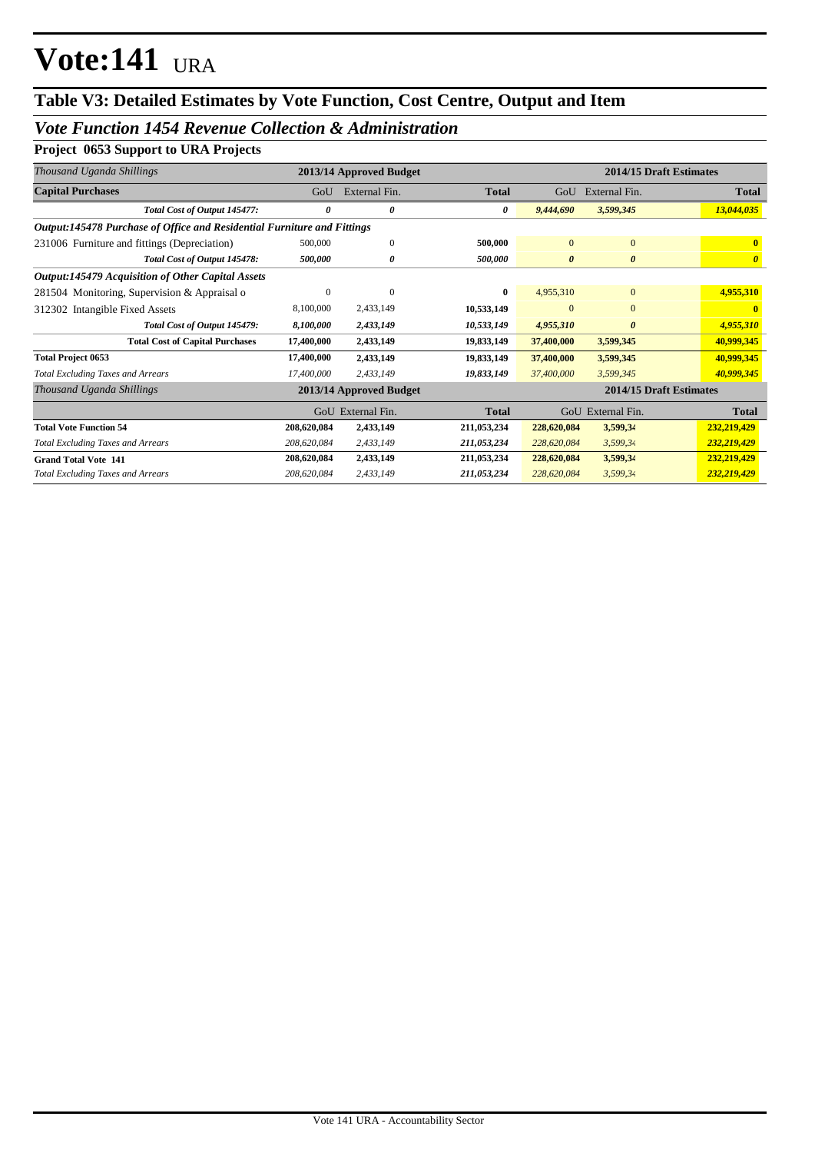## **Table V3: Detailed Estimates by Vote Function, Cost Centre, Output and Item**

### *Vote Function 1454 Revenue Collection & Administration*

### **Project 0653 Support to URA Projects**

| Thousand Uganda Shillings                                               |              | 2013/14 Approved Budget |              |                       | 2014/15 Draft Estimates |                       |
|-------------------------------------------------------------------------|--------------|-------------------------|--------------|-----------------------|-------------------------|-----------------------|
| <b>Capital Purchases</b>                                                | GoU          | External Fin.           | <b>Total</b> | GoU                   | External Fin.           | <b>Total</b>          |
| Total Cost of Output 145477:                                            | 0            | 0                       | 0            | 9,444,690             | 3,599,345               | 13,044,035            |
| Output:145478 Purchase of Office and Residential Furniture and Fittings |              |                         |              |                       |                         |                       |
| 231006 Furniture and fittings (Depreciation)                            | 500,000      | $\theta$                | 500,000      | $\mathbf{0}$          | $\overline{0}$          | $\mathbf{0}$          |
| Total Cost of Output 145478:                                            | 500,000      | 0                       | 500,000      | $\boldsymbol{\theta}$ | 0                       | $\boldsymbol{\theta}$ |
| <b>Output:145479 Acquisition of Other Capital Assets</b>                |              |                         |              |                       |                         |                       |
| 281504 Monitoring, Supervision & Appraisal o                            | $\mathbf{0}$ | $\theta$                | 0            | 4,955,310             | $\overline{0}$          | 4,955,310             |
| 312302 Intangible Fixed Assets                                          | 8,100,000    | 2,433,149               | 10,533,149   | $\Omega$              | $\overline{0}$          |                       |
| Total Cost of Output 145479:                                            | 8,100,000    | 2,433,149               | 10,533,149   | 4,955,310             | 0                       | 4,955,310             |
| <b>Total Cost of Capital Purchases</b>                                  | 17,400,000   | 2,433,149               | 19,833,149   | 37,400,000            | 3,599,345               | 40,999,345            |
| <b>Total Project 0653</b>                                               | 17,400,000   | 2,433,149               | 19,833,149   | 37,400,000            | 3,599,345               | 40,999,345            |
| <b>Total Excluding Taxes and Arrears</b>                                | 17,400,000   | 2,433,149               | 19,833,149   | 37,400,000            | 3,599,345               | 40,999,345            |
| Thousand Uganda Shillings                                               |              | 2013/14 Approved Budget |              |                       | 2014/15 Draft Estimates |                       |
|                                                                         |              | GoU External Fin.       | <b>Total</b> |                       | GoU External Fin.       | <b>Total</b>          |
| <b>Total Vote Function 54</b>                                           | 208,620,084  | 2,433,149               | 211,053,234  | 228,620,084           | 3,599,34                | 232,219,429           |
| <b>Total Excluding Taxes and Arrears</b>                                | 208,620,084  | 2,433,149               | 211,053,234  | 228,620,084           | 3,599,34                | 232,219,429           |
| <b>Grand Total Vote 141</b>                                             | 208,620,084  | 2,433,149               | 211,053,234  | 228,620,084           | 3,599,34                | 232,219,429           |
| <b>Total Excluding Taxes and Arrears</b>                                | 208,620,084  | 2,433,149               | 211,053,234  | 228,620,084           | 3,599,34                | 232,219,429           |